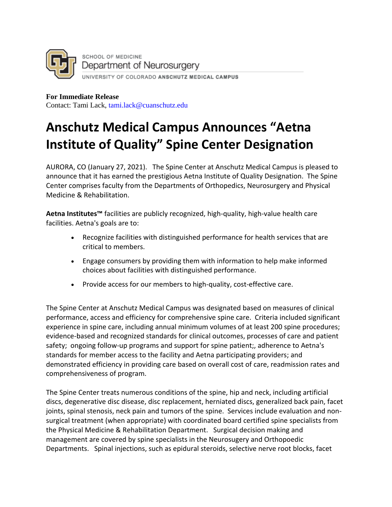

**For Immediate Release**  Contact: Tami Lack, tami.lack@cuanschutz.edu

## **Anschutz Medical Campus Announces "Aetna Institute of Quality" Spine Center Designation**

AURORA, CO (January 27, 2021). The Spine Center at Anschutz Medical Campus is pleased to announce that it has earned the prestigious Aetna Institute of Quality Designation. The Spine Center comprises faculty from the Departments of Orthopedics, Neurosurgery and Physical Medicine & Rehabilitation.

**Aetna Institutes™** facilities are publicly recognized, high-quality, high-value health care facilities. Aetna's goals are to:

- Recognize facilities with distinguished performance for health services that are critical to members.
- Engage consumers by providing them with information to help make informed choices about facilities with distinguished performance.
- Provide access for our members to high-quality, cost-effective care.

The Spine Center at Anschutz Medical Campus was designated based on measures of clinical performance, access and efficiency for comprehensive spine care. Criteria included significant experience in spine care, including annual minimum volumes of at least 200 spine procedures; evidence-based and recognized standards for clinical outcomes, processes of care and patient safety; ongoing follow-up programs and support for spine patient;, adherence to Aetna's standards for member access to the facility and Aetna participating providers; and demonstrated efficiency in providing care based on overall cost of care, readmission rates and comprehensiveness of program.

The Spine Center treats numerous conditions of the spine, hip and neck, including artificial discs, degenerative disc disease, disc replacement, herniated discs, generalized back pain, facet joints, spinal stenosis, neck pain and tumors of the spine. Services include evaluation and nonsurgical treatment (when appropriate) with coordinated board certified spine specialists from the Physical Medicine & Rehabilitation Department. Surgical decision making and management are covered by spine specialists in the Neurosugery and Orthopoedic Departments. Spinal injections, such as epidural steroids, selective nerve root blocks, facet